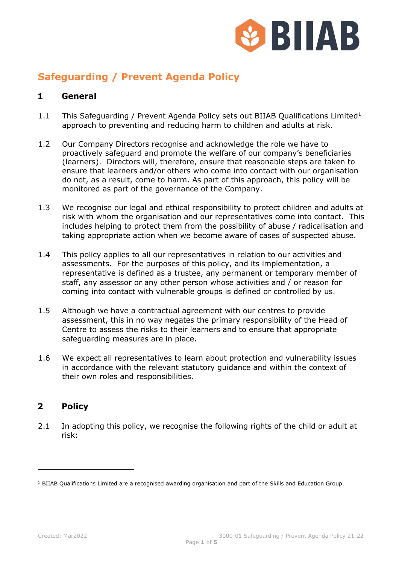

# **Safeguarding / Prevent Agenda Policy**

#### **1 General**

- [1](#page-0-0).1 This Safeguarding / Prevent Agenda Policy sets out BIIAB Qualifications Limited<sup>1</sup> approach to preventing and reducing harm to children and adults at risk.
- 1.2 Our Company Directors recognise and acknowledge the role we have to proactively safeguard and promote the welfare of our company's beneficiaries (learners). Directors will, therefore, ensure that reasonable steps are taken to ensure that learners and/or others who come into contact with our organisation do not, as a result, come to harm. As part of this approach, this policy will be monitored as part of the governance of the Company.
- 1.3 We recognise our legal and ethical responsibility to protect children and adults at risk with whom the organisation and our representatives come into contact. This includes helping to protect them from the possibility of abuse / radicalisation and taking appropriate action when we become aware of cases of suspected abuse.
- 1.4 This policy applies to all our representatives in relation to our activities and assessments. For the purposes of this policy, and its implementation, a representative is defined as a trustee, any permanent or temporary member of staff, any assessor or any other person whose activities and / or reason for coming into contact with vulnerable groups is defined or controlled by us.
- 1.5 Although we have a contractual agreement with our centres to provide assessment, this in no way negates the primary responsibility of the Head of Centre to assess the risks to their learners and to ensure that appropriate safeguarding measures are in place.
- 1.6 We expect all representatives to learn about protection and vulnerability issues in accordance with the relevant statutory guidance and within the context of their own roles and responsibilities.

### **2 Policy**

2.1 In adopting this policy, we recognise the following rights of the child or adult at risk:

<span id="page-0-0"></span> $1$  BIIAB Qualifications Limited are a recognised awarding organisation and part of the Skills and Education Group.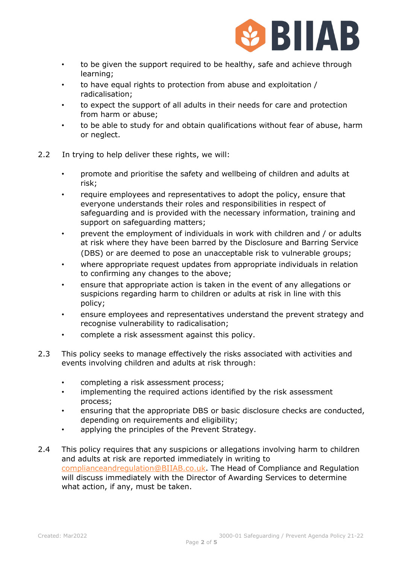

- to be given the support required to be healthy, safe and achieve through learning;
- to have equal rights to protection from abuse and exploitation / radicalisation;
- to expect the support of all adults in their needs for care and protection from harm or abuse;
- to be able to study for and obtain qualifications without fear of abuse, harm or neglect.
- 2.2 In trying to help deliver these rights, we will:
	- promote and prioritise the safety and wellbeing of children and adults at risk;
	- require employees and representatives to adopt the policy, ensure that everyone understands their roles and responsibilities in respect of safeguarding and is provided with the necessary information, training and support on safeguarding matters;
	- prevent the employment of individuals in work with children and / or adults at risk where they have been barred by the Disclosure and Barring Service (DBS) or are deemed to pose an unacceptable risk to vulnerable groups;
	- where appropriate request updates from appropriate individuals in relation to confirming any changes to the above;
	- ensure that appropriate action is taken in the event of any allegations or suspicions regarding harm to children or adults at risk in line with this policy;
	- ensure employees and representatives understand the prevent strategy and recognise vulnerability to radicalisation;
	- complete a risk assessment against this policy.
- 2.3 This policy seeks to manage effectively the risks associated with activities and events involving children and adults at risk through:
	- completing a risk assessment process;
	- implementing the required actions identified by the risk assessment process;
	- ensuring that the appropriate DBS or basic disclosure checks are conducted, depending on requirements and eligibility;
	- applying the principles of the Prevent Strategy.
- 2.4 This policy requires that any suspicions or allegations involving harm to children and adults at risk are reported immediately in writing to [complianceandregulation@BIIAB.co.uk.](mailto:complianceandregulation@BIIAB.co.uk) The Head of Compliance and Regulation will discuss immediately with the Director of Awarding Services to determine what action, if any, must be taken.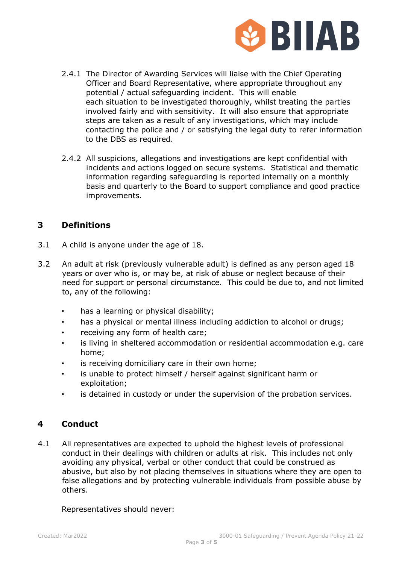

- 2.4.1 The Director of Awarding Services will liaise with the Chief Operating Officer and Board Representative, where appropriate throughout any potential / actual safeguarding incident. This will enable each situation to be investigated thoroughly, whilst treating the parties involved fairly and with sensitivity. It will also ensure that appropriate steps are taken as a result of any investigations, which may include contacting the police and / or satisfying the legal duty to refer information to the DBS as required.
- 2.4.2 All suspicions, allegations and investigations are kept confidential with incidents and actions logged on secure systems. Statistical and thematic information regarding safeguarding is reported internally on a monthly basis and quarterly to the Board to support compliance and good practice improvements.

## **3 Definitions**

- 3.1 A child is anyone under the age of 18.
- 3.2 An adult at risk (previously vulnerable adult) is defined as any person aged 18 years or over who is, or may be, at risk of abuse or neglect because of their need for support or personal circumstance. This could be due to, and not limited to, any of the following:
	- has a learning or physical disability;
	- has a physical or mental illness including addiction to alcohol or drugs;
	- receiving any form of health care;
	- is living in sheltered accommodation or residential accommodation e.g. care home;
	- is receiving domiciliary care in their own home;
	- is unable to protect himself / herself against significant harm or exploitation;
	- is detained in custody or under the supervision of the probation services.

### **4 Conduct**

4.1 All representatives are expected to uphold the highest levels of professional conduct in their dealings with children or adults at risk. This includes not only avoiding any physical, verbal or other conduct that could be construed as abusive, but also by not placing themselves in situations where they are open to false allegations and by protecting vulnerable individuals from possible abuse by others.

Representatives should never: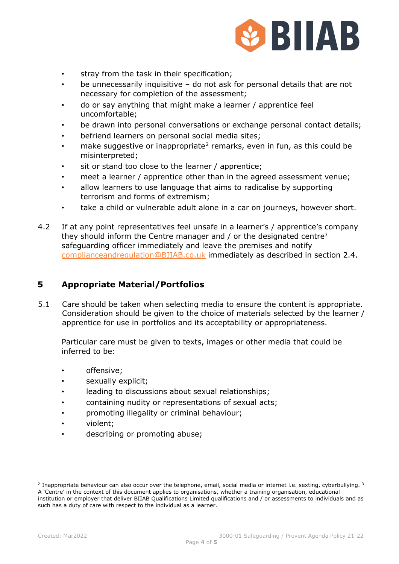

- stray from the task in their specification;
- be unnecessarily inquisitive do not ask for personal details that are not necessary for completion of the assessment;
- do or say anything that might make a learner / apprentice feel uncomfortable;
- be drawn into personal conversations or exchange personal contact details;
- befriend learners on personal social media sites;
- make suggestive or inappropriate<sup>[2](#page-3-0)</sup> remarks, even in fun, as this could be misinterpreted;
- sit or stand too close to the learner / apprentice;
- meet a learner / apprentice other than in the agreed assessment venue;
- allow learners to use language that aims to radicalise by supporting terrorism and forms of extremism;
- take a child or vulnerable adult alone in a car on journeys, however short.
- 4.2 If at any point representatives feel unsafe in a learner's / apprentice's company they should inform the Centre manager and  $\ell$  or the designated centre<sup>3</sup> safeguarding officer immediately and leave the premises and notify [complianceandregulation@BIIAB.co.uk](mailto:complianceandregulation@BIIAB.co.uk) immediately as described in section 2.4.

#### **5 Appropriate Material/Portfolios**

5.1 Care should be taken when selecting media to ensure the content is appropriate. Consideration should be given to the choice of materials selected by the learner / apprentice for use in portfolios and its acceptability or appropriateness.

Particular care must be given to texts, images or other media that could be inferred to be:

- offensive;
- sexually explicit;
- leading to discussions about sexual relationships;
- containing nudity or representations of sexual acts;
- promoting illegality or criminal behaviour;
- violent;
- describing or promoting abuse;

<span id="page-3-0"></span> $2$  Inappropriate behaviour can also occur over the telephone, email, social media or internet i.e. sexting, cyberbullying.  $3$ A 'Centre' in the context of this document applies to organisations, whether a training organisation, educational institution or employer that deliver BIIAB Qualifications Limited qualifications and / or assessments to individuals and as such has a duty of care with respect to the individual as a learner.